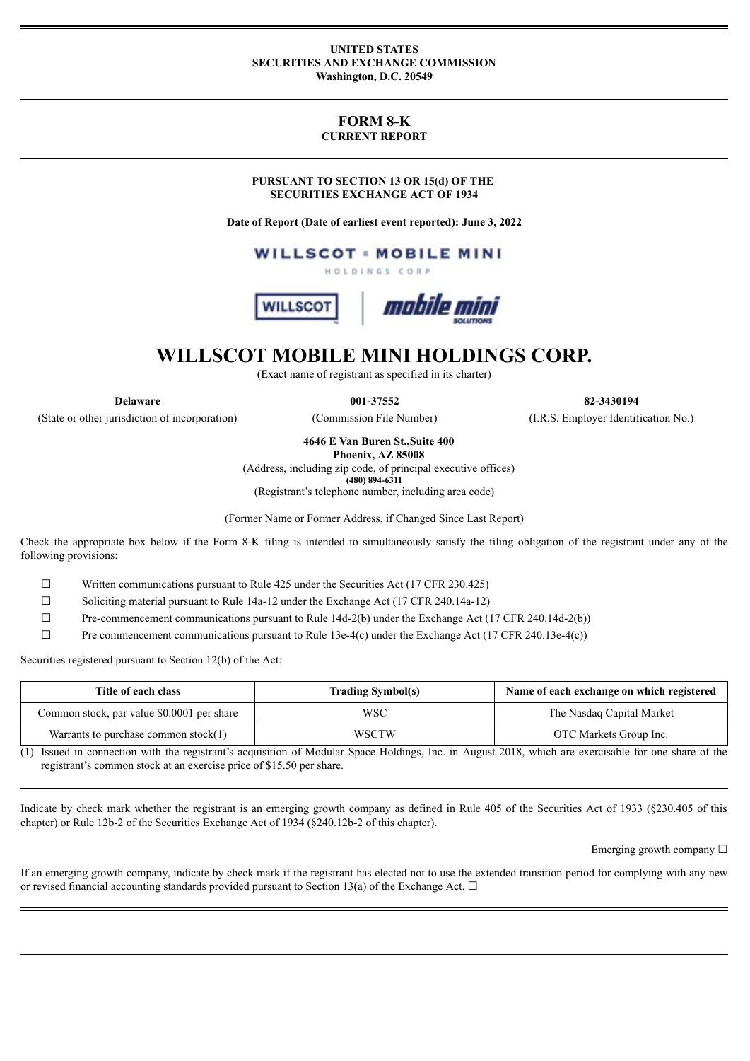#### **UNITED STATES SECURITIES AND EXCHANGE COMMISSION Washington, D.C. 20549**

# **FORM 8-K CURRENT REPORT**

**PURSUANT TO SECTION 13 OR 15(d) OF THE SECURITIES EXCHANGE ACT OF 1934**

**Date of Report (Date of earliest event reported): June 3, 2022**

**WILLSCOT - MOBILE MINI** HOLDINGS CORP





# **WILLSCOT MOBILE MINI HOLDINGS CORP.**

(Exact name of registrant as specified in its charter)

(State or other jurisdiction of incorporation) (Commission File Number) (I.R.S. Employer Identification No.)

**Delaware 001-37552 82-3430194**

**4646 E Van Buren St.,Suite 400**

**Phoenix, AZ 85008**

(Address, including zip code, of principal executive offices) **(480) 894-6311**

(Registrant's telephone number, including area code)

(Former Name or Former Address, if Changed Since Last Report)

Check the appropriate box below if the Form 8-K filing is intended to simultaneously satisfy the filing obligation of the registrant under any of the following provisions:

☐ Written communications pursuant to Rule 425 under the Securities Act (17 CFR 230.425)

 $\Box$  Soliciting material pursuant to Rule 14a-12 under the Exchange Act (17 CFR 240.14a-12)

 $\Box$  Pre-commencement communications pursuant to Rule 14d-2(b) under the Exchange Act (17 CFR 240.14d-2(b))

 $\Box$  Pre commencement communications pursuant to Rule 13e-4(c) under the Exchange Act (17 CFR 240.13e-4(c))

Securities registered pursuant to Section 12(b) of the Act:

| Title of each class                        | <b>Trading Symbol(s)</b> | Name of each exchange on which registered |
|--------------------------------------------|--------------------------|-------------------------------------------|
| Common stock, par value \$0.0001 per share | WSC                      | The Nasdaq Capital Market                 |
| Warrants to purchase common stock $(1)$    | <b>WSCTW</b>             | OTC Markets Group Inc.                    |

(1) Issued in connection with the registrant's acquisition of Modular Space Holdings, Inc. in August 2018, which are exercisable for one share of the registrant's common stock at an exercise price of \$15.50 per share.

Indicate by check mark whether the registrant is an emerging growth company as defined in Rule 405 of the Securities Act of 1933 (§230.405 of this chapter) or Rule 12b-2 of the Securities Exchange Act of 1934 (§240.12b-2 of this chapter).

Emerging growth company  $\Box$ 

If an emerging growth company, indicate by check mark if the registrant has elected not to use the extended transition period for complying with any new or revised financial accounting standards provided pursuant to Section 13(a) of the Exchange Act.  $\Box$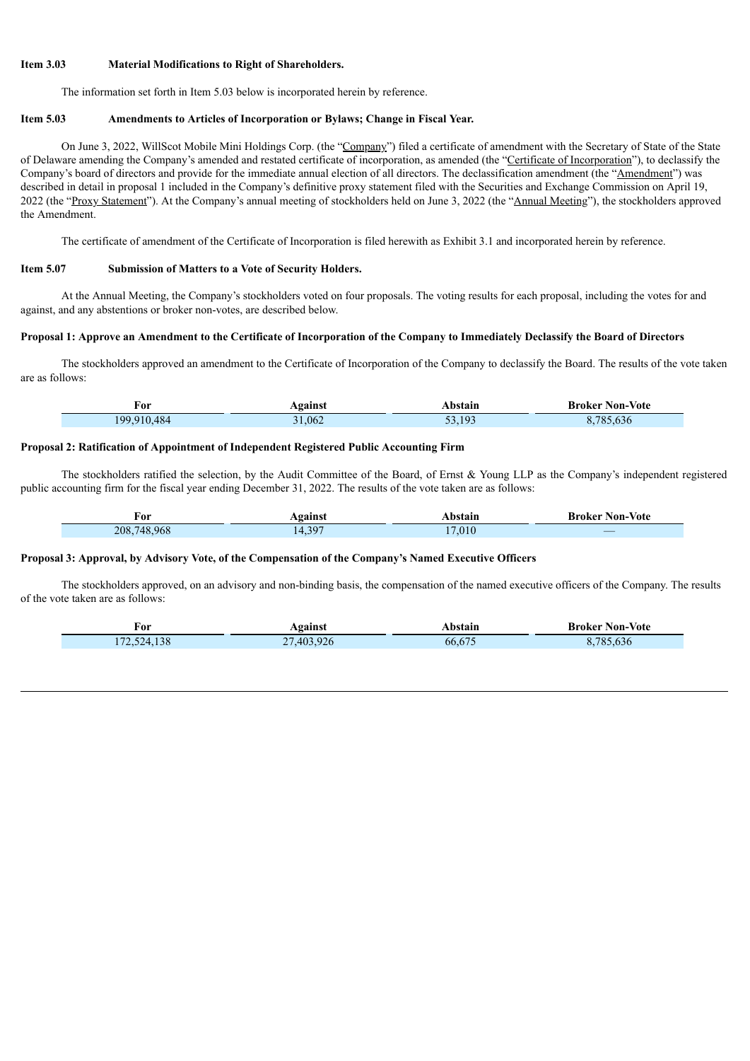### **Item 3.03 Material Modifications to Right of Shareholders.**

The information set forth in Item 5.03 below is incorporated herein by reference.

#### **Item 5.03 Amendments to Articles of Incorporation or Bylaws; Change in Fiscal Year.**

On June 3, 2022, WillScot Mobile Mini Holdings Corp. (the "Company") filed a certificate of amendment with the Secretary of State of the State of Delaware amending the Company's amended and restated certificate of incorporation, as amended (the "Certificate of Incorporation"), to declassify the Company's board of directors and provide for the immediate annual election of all directors. The declassification amendment (the "Amendment") was described in detail in proposal 1 included in the Company's definitive proxy statement filed with the Securities and Exchange Commission on April 19, 2022 (the "Proxy Statement"). At the Company's annual meeting of stockholders held on June 3, 2022 (the "Annual Meeting"), the stockholders approved the Amendment.

The certificate of amendment of the Certificate of Incorporation is filed herewith as Exhibit 3.1 and incorporated herein by reference.

#### **Item 5.07 Submission of Matters to a Vote of Security Holders.**

Г

ī

At the Annual Meeting, the Company's stockholders voted on four proposals. The voting results for each proposal, including the votes for and against, and any abstentions or broker non-votes, are described below.

#### Proposal 1: Approve an Amendment to the Certificate of Incorporation of the Company to Immediately Declassify the Board of Directors

The stockholders approved an amendment to the Certificate of Incorporation of the Company to declassify the Board. The results of the vote taken are as follows:

| ∀or         | Against | Abstain | <b>Broker Non-Vote</b>    |
|-------------|---------|---------|---------------------------|
| 199.910.484 | 31,062  | 53 193  | $\sqrt{2}$<br>785<br>.030 |

#### **Proposal 2: Ratification of Appointment of Independent Registered Public Accounting Firm**

The stockholders ratified the selection, by the Audit Committee of the Board, of Ernst & Young LLP as the Company's independent registered public accounting firm for the fiscal year ending December 31, 2022. The results of the vote taken are as follows:

| 'or         | aainst                         | <b>\bstain</b> | Non-Vote<br>Broker |
|-------------|--------------------------------|----------------|--------------------|
| 208,748,968 | $\gamma$ or<br>- - -<br>$\sim$ | ,010           | _                  |

#### **Proposal 3: Approval, by Advisory Vote, of the Compensation of the Company's Named Executive Officers**

The stockholders approved, on an advisory and non-binding basis, the compensation of the named executive officers of the Company. The results of the vote taken are as follows:

| For         | Against    | Abstain | <b>Broker Non-Vote</b> |
|-------------|------------|---------|------------------------|
| 172,524,138 | 27,403,926 | 66.675  | $\sim 785$<br>, 636    |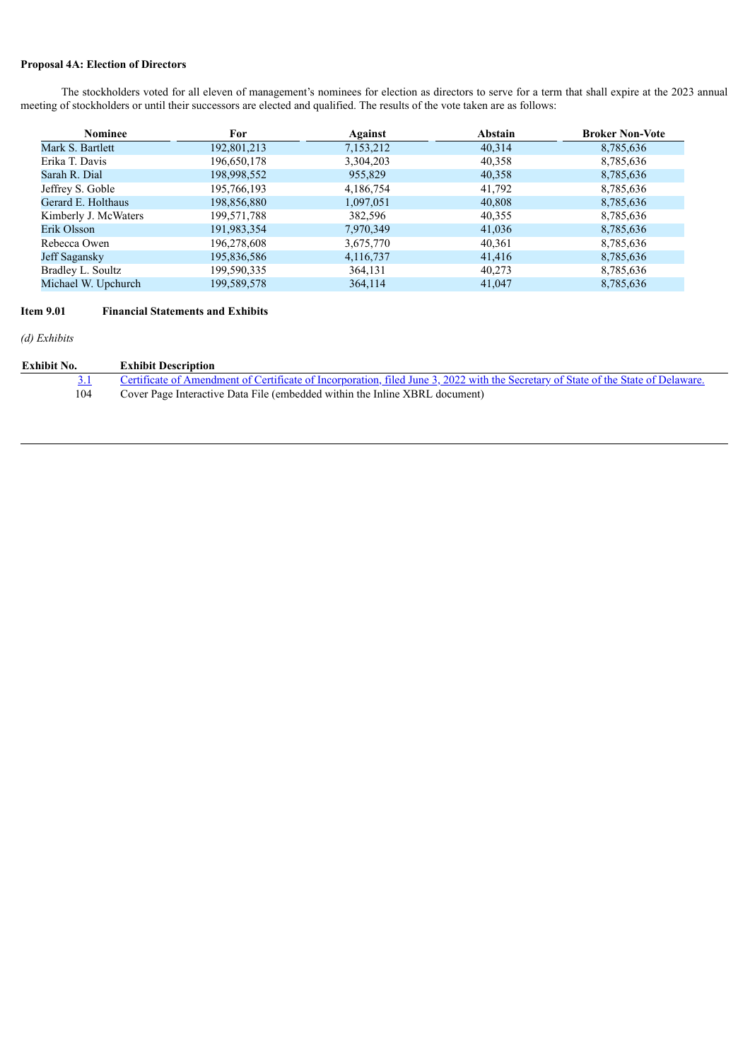## **Proposal 4A: Election of Directors**

The stockholders voted for all eleven of management's nominees for election as directors to serve for a term that shall expire at the 2023 annual meeting of stockholders or until their successors are elected and qualified. The results of the vote taken are as follows:

| <b>Nominee</b>       | For         | Against   | Abstain | <b>Broker Non-Vote</b> |
|----------------------|-------------|-----------|---------|------------------------|
| Mark S. Bartlett     | 192,801,213 | 7,153,212 | 40,314  | 8,785,636              |
| Erika T. Davis       | 196,650,178 | 3,304,203 | 40,358  | 8,785,636              |
| Sarah R. Dial        | 198,998,552 | 955,829   | 40,358  | 8,785,636              |
| Jeffrey S. Goble     | 195,766,193 | 4,186,754 | 41,792  | 8,785,636              |
| Gerard E. Holthaus   | 198,856,880 | 1,097,051 | 40,808  | 8,785,636              |
| Kimberly J. McWaters | 199,571,788 | 382,596   | 40,355  | 8,785,636              |
| Erik Olsson          | 191,983,354 | 7,970,349 | 41,036  | 8,785,636              |
| Rebecca Owen         | 196,278,608 | 3,675,770 | 40,361  | 8,785,636              |
| Jeff Sagansky        | 195,836,586 | 4,116,737 | 41,416  | 8,785,636              |
| Bradley L. Soultz    | 199,590,335 | 364,131   | 40,273  | 8,785,636              |
| Michael W. Upchurch  | 199,589,578 | 364,114   | 41,047  | 8,785,636              |

# **Item 9.01 Financial Statements and Exhibits**

*(d) Exhibits*

| Exhibit No. | <b>Exhibit Description</b>                                                                                                         |
|-------------|------------------------------------------------------------------------------------------------------------------------------------|
|             | Certificate of Amendment of Certificate of Incorporation, filed June 3, 2022 with the Secretary of State of the State of Delaware. |
| 104         | Cover Page Interactive Data File (embedded within the Inline XBRL document)                                                        |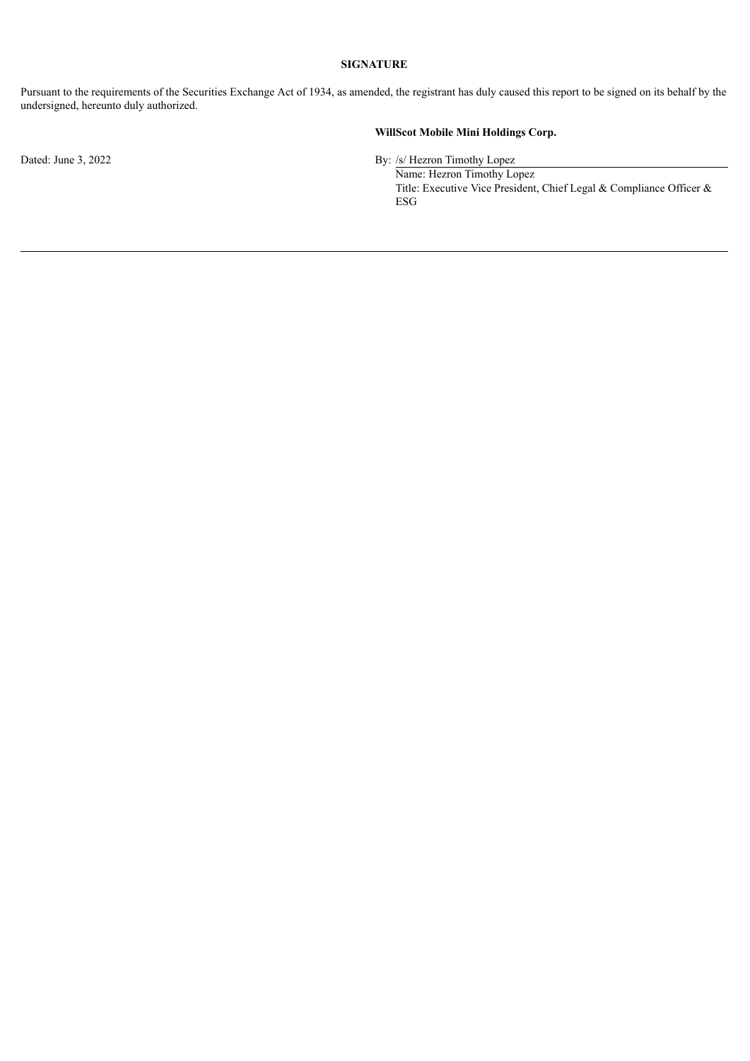## **SIGNATURE**

Pursuant to the requirements of the Securities Exchange Act of 1934, as amended, the registrant has duly caused this report to be signed on its behalf by the undersigned, hereunto duly authorized.

# **WillScot Mobile Mini Holdings Corp.**

Dated: June 3, 2022 By: /s/ Hezron Timothy Lopez

Name: Hezron Timothy Lopez Title: Executive Vice President, Chief Legal & Compliance Officer & ESG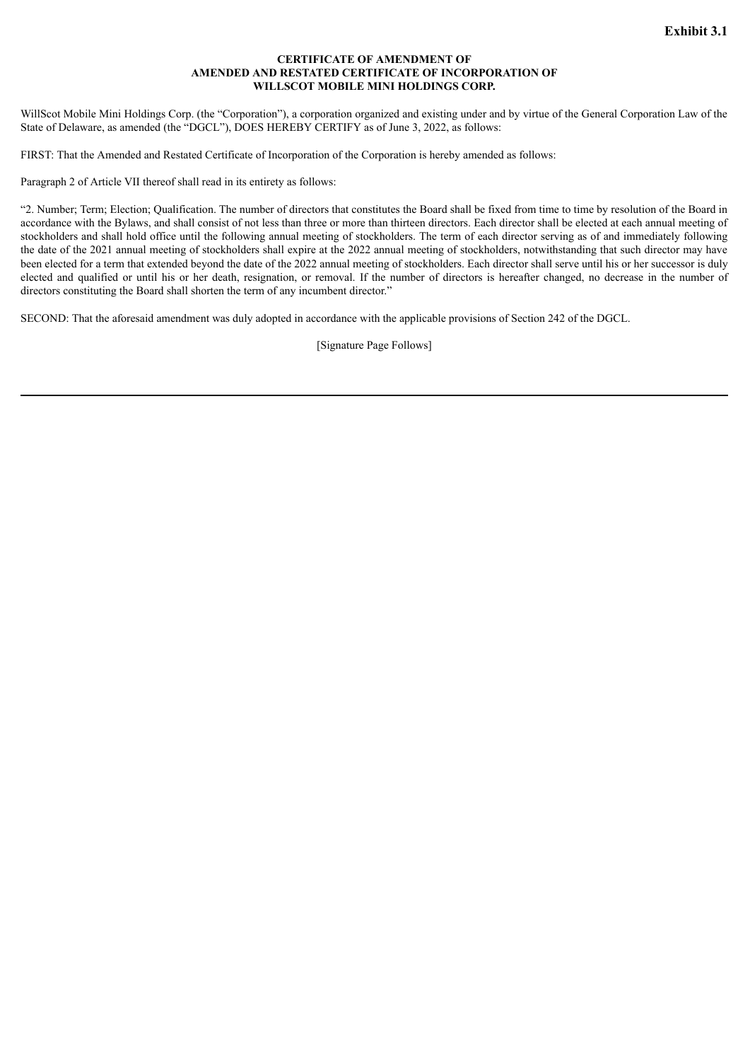#### **CERTIFICATE OF AMENDMENT OF AMENDED AND RESTATED CERTIFICATE OF INCORPORATION OF WILLSCOT MOBILE MINI HOLDINGS CORP.**

<span id="page-4-0"></span>WillScot Mobile Mini Holdings Corp. (the "Corporation"), a corporation organized and existing under and by virtue of the General Corporation Law of the State of Delaware, as amended (the "DGCL"), DOES HEREBY CERTIFY as of June 3, 2022, as follows:

FIRST: That the Amended and Restated Certificate of Incorporation of the Corporation is hereby amended as follows:

Paragraph 2 of Article VII thereof shall read in its entirety as follows:

"2. Number; Term; Election; Qualification. The number of directors that constitutes the Board shall be fixed from time to time by resolution of the Board in accordance with the Bylaws, and shall consist of not less than three or more than thirteen directors. Each director shall be elected at each annual meeting of stockholders and shall hold office until the following annual meeting of stockholders. The term of each director serving as of and immediately following the date of the 2021 annual meeting of stockholders shall expire at the 2022 annual meeting of stockholders, notwithstanding that such director may have been elected for a term that extended beyond the date of the 2022 annual meeting of stockholders. Each director shall serve until his or her successor is duly elected and qualified or until his or her death, resignation, or removal. If the number of directors is hereafter changed, no decrease in the number of directors constituting the Board shall shorten the term of any incumbent director."

SECOND: That the aforesaid amendment was duly adopted in accordance with the applicable provisions of Section 242 of the DGCL.

[Signature Page Follows]